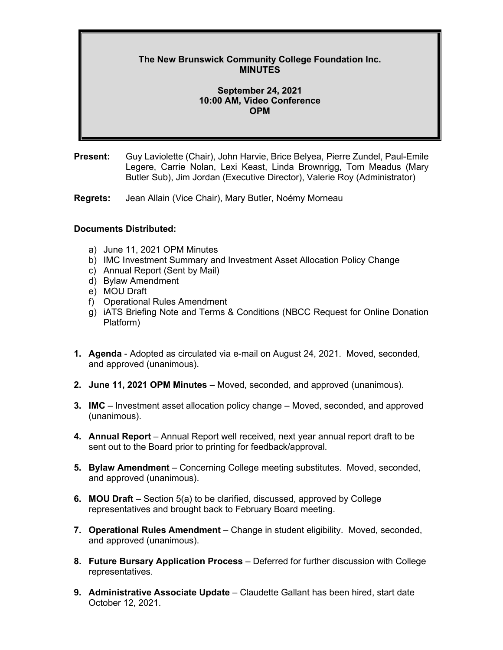## **The New Brunswick Community College Foundation Inc. MINUTES**

## **September 24, 2021 10:00 AM, Video Conference OPM**

**Present:** Guy Laviolette (Chair), John Harvie, Brice Belyea, Pierre Zundel, Paul-Emile Legere, Carrie Nolan, Lexi Keast, Linda Brownrigg, Tom Meadus (Mary Butler Sub), Jim Jordan (Executive Director), Valerie Roy (Administrator)

**Regrets:** Jean Allain (Vice Chair), Mary Butler, Noémy Morneau

## **Documents Distributed:**

- a) June 11, 2021 OPM Minutes
- b) IMC Investment Summary and Investment Asset Allocation Policy Change
- c) Annual Report (Sent by Mail)
- d) Bylaw Amendment
- e) MOU Draft
- f) Operational Rules Amendment
- g) iATS Briefing Note and Terms & Conditions (NBCC Request for Online Donation Platform)
- **1. Agenda**  Adopted as circulated via e-mail on August 24, 2021. Moved, seconded, and approved (unanimous).
- **2. June 11, 2021 OPM Minutes** Moved, seconded, and approved (unanimous).
- **3. IMC** Investment asset allocation policy change Moved, seconded, and approved (unanimous).
- **4. Annual Report** Annual Report well received, next year annual report draft to be sent out to the Board prior to printing for feedback/approval.
- **5. Bylaw Amendment** Concerning College meeting substitutes. Moved, seconded, and approved (unanimous).
- **6. MOU Draft** Section 5(a) to be clarified, discussed, approved by College representatives and brought back to February Board meeting.
- **7. Operational Rules Amendment** Change in student eligibility. Moved, seconded, and approved (unanimous).
- **8. Future Bursary Application Process** Deferred for further discussion with College representatives.
- **9. Administrative Associate Update** Claudette Gallant has been hired, start date October 12, 2021.